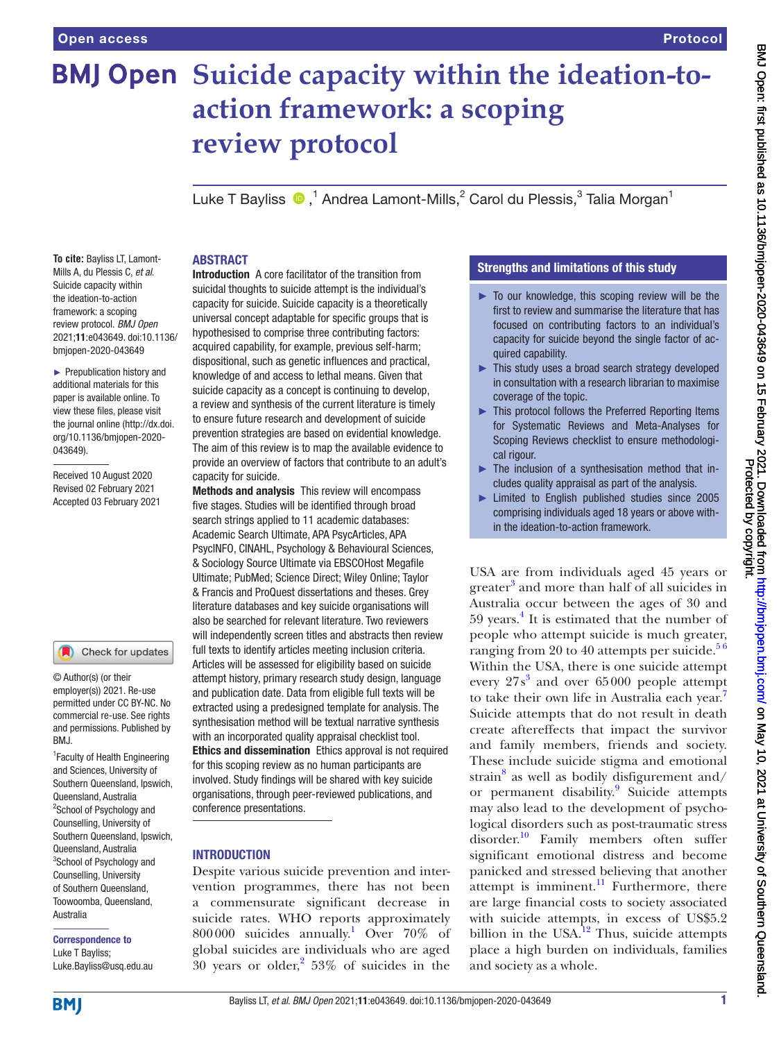# **BMJ Open** Suicide capacity within the ideation-to**action framework: a scoping review protocol**

LukeT Bayliss  $\bigcirc$  ,<sup>1</sup> Andrea Lamont-Mills,<sup>2</sup> Carol du Plessis,<sup>3</sup> Talia Morgan<sup>1</sup>

#### **To cite:** Bayliss LT, Lamont-Mills A, du Plessis C, *et al*. Suicide capacity within the ideation-to-action framework: a scoping review protocol. *BMJ Open* 2021;11:e043649. doi:10.1136/ bmjopen-2020-043649

► Prepublication history and additional materials for this paper is available online. To view these files, please visit the journal online (http://dx.doi. org/10.1136/bmjopen-2020- 043649).

Received 10 August 2020 Revised 02 February 2021 Accepted 03 February 2021

#### Check for updates

© Author(s) (or their employer(s)) 2021. Re-use permitted under CC BY-NC. No commercial re-use. See rights and permissions. Published by RM<sub>J</sub>

<sup>1</sup> Faculty of Health Engineering and Sciences, University of Southern Queensland, Ipswich, Queensland, Australia <sup>2</sup>School of Psychology and Counselling, University of Southern Queensland, Ipswich, Queensland, Australia <sup>3</sup>School of Psychology and Counselling, University of Southern Queensland, Toowoomba, Queensland, Australia

Correspondence to Luke T Bayliss; Luke.Bayliss@usq.edu.au

## ABSTRACT

Introduction A core facilitator of the transition from suicidal thoughts to suicide attempt is the individual's capacity for suicide. Suicide capacity is a theoretically universal concept adaptable for specific groups that is hypothesised to comprise three contributing factors: acquired capability, for example, previous self-harm; dispositional, such as genetic influences and practical, knowledge of and access to lethal means. Given that suicide capacity as a concept is continuing to develop, a review and synthesis of the current literature is timely to ensure future research and development of suicide prevention strategies are based on evidential knowledge. The aim of this review is to map the available evidence to provide an overview of factors that contribute to an adult's capacity for suicide.

Methods and analysis This review will encompass five stages. Studies will be identified through broad search strings applied to 11 academic databases: Academic Search Ultimate, APA PsycArticles, APA PsycINFO, CINAHL, Psychology & Behavioural Sciences, & Sociology Source Ultimate via EBSCOHost Megafile Ultimate; PubMed; Science Direct; Wiley Online; Taylor & Francis and ProQuest dissertations and theses. Grey literature databases and key suicide organisations will also be searched for relevant literature. Two reviewers will independently screen titles and abstracts then review full texts to identify articles meeting inclusion criteria. Articles will be assessed for eligibility based on suicide attempt history, primary research study design, language and publication date. Data from eligible full texts will be extracted using a predesigned template for analysis. The synthesisation method will be textual narrative synthesis with an incorporated quality appraisal checklist tool. Ethics and dissemination Ethics approval is not required for this scoping review as no human participants are involved. Study findings will be shared with key suicide organisations, through peer-reviewed publications, and conference presentations.

## **INTRODUCTION**

Despite various suicide prevention and intervention programmes, there has not been a commensurate significant decrease in suicide rates. WHO reports approximately 800000 suicides annually.[1](#page-6-0) Over 70% of global suicides are individuals who are aged  $30$  years or older,<sup>[2](#page-6-1)</sup> 53% of suicides in the

## Strengths and limitations of this study

- ► To our knowledge, this scoping review will be the first to review and summarise the literature that has focused on contributing factors to an individual's capacity for suicide beyond the single factor of acquired capability.
- ► This study uses a broad search strategy developed in consultation with a research librarian to maximise coverage of the topic.
- ► This protocol follows the Preferred Reporting Items for Systematic Reviews and Meta-Analyses for Scoping Reviews checklist to ensure methodological rigour.
- ► The inclusion of a synthesisation method that includes quality appraisal as part of the analysis.
- ► Limited to English published studies since 2005 comprising individuals aged 18 years or above within the ideation-to-action framework.

USA are from individuals aged 45 years or greater<sup>[3](#page-6-2)</sup> and more than half of all suicides in Australia occur between the ages of 30 and 59 years.<sup>4</sup> It is estimated that the number of people who attempt suicide is much greater, ranging from 20 to 40 attempts per suicide. $56$ Within the USA, there is one suicide attempt every 27s [3](#page-6-2) and over 65000 people attempt to take their own life in Australia each year.<sup>7</sup> Suicide attempts that do not result in death create aftereffects that impact the survivor and family members, friends and society. These include suicide stigma and emotional strain $8$  as well as bodily disfigurement and/ or permanent disability.<sup>9</sup> Suicide attempts may also lead to the development of psychological disorders such as post-traumatic stress disorder.<sup>10</sup> Family members often suffer significant emotional distress and become panicked and stressed believing that another attempt is imminent.<sup>11</sup> Furthermore, there are large financial costs to society associated with suicide attempts, in excess of US\$5.2 billion in the USA. $^{12}$  Thus, suicide attempts place a high burden on individuals, families and society as a whole.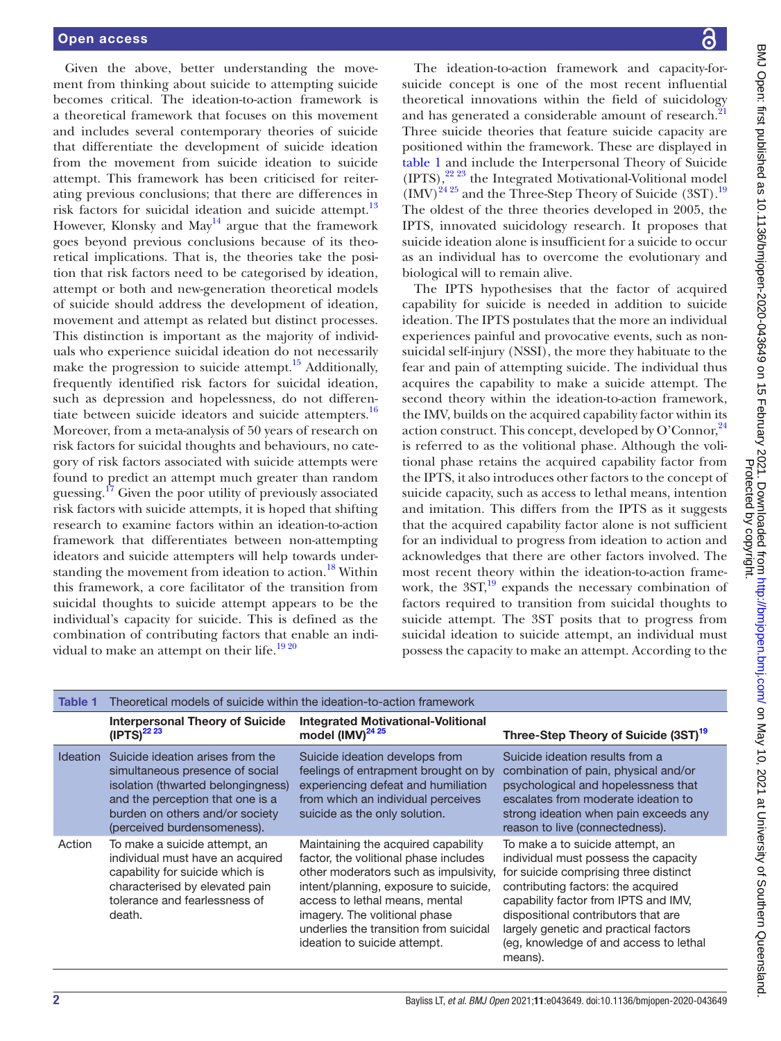Given the above, better understanding the movement from thinking about suicide to attempting suicide becomes critical. The ideation-to-action framework is a theoretical framework that focuses on this movement and includes several contemporary theories of suicide that differentiate the development of suicide ideation from the movement from suicide ideation to suicide attempt. This framework has been criticised for reiterating previous conclusions; that there are differences in risk factors for suicidal ideation and suicide attempt.<sup>13</sup> However, Klonsky and May<sup>14</sup> argue that the framework goes beyond previous conclusions because of its theoretical implications. That is, the theories take the position that risk factors need to be categorised by ideation, attempt or both and new-generation theoretical models of suicide should address the development of ideation, movement and attempt as related but distinct processes. This distinction is important as the majority of individuals who experience suicidal ideation do not necessarily make the progression to suicide attempt.<sup>15</sup> Additionally, frequently identified risk factors for suicidal ideation, such as depression and hopelessness, do not differentiate between suicide ideators and suicide attempters.<sup>16</sup> Moreover, from a meta-analysis of 50 years of research on risk factors for suicidal thoughts and behaviours, no category of risk factors associated with suicide attempts were found to predict an attempt much greater than random guessing.<sup>[17](#page-6-15)</sup> Given the poor utility of previously associated risk factors with suicide attempts, it is hoped that shifting research to examine factors within an ideation-to-action framework that differentiates between non-attempting ideators and suicide attempters will help towards under-standing the movement from ideation to action.<sup>[18](#page-6-16)</sup> Within this framework, a core facilitator of the transition from suicidal thoughts to suicide attempt appears to be the individual's capacity for suicide. This is defined as the combination of contributing factors that enable an individual to make an attempt on their life.<sup>1920</sup>

The ideation-to-action framework and capacity-forsuicide concept is one of the most recent influential theoretical innovations within the field of suicidology and has generated a considerable amount of research.<sup>[21](#page-6-18)</sup> Three suicide theories that feature suicide capacity are positioned within the framework. These are displayed in [table](#page-1-0) 1 and include the Interpersonal Theory of Suicide  $(IPTS)$ ,  $^{22}$   $^{23}$  the Integrated Motivational-Volitional model  $\overline{(IMV)}^{24\,25}$  and the Three-Step Theory of Suicide (3ST).<sup>[19](#page-6-17)</sup> The oldest of the three theories developed in 2005, the IPTS, innovated suicidology research. It proposes that suicide ideation alone is insufficient for a suicide to occur as an individual has to overcome the evolutionary and biological will to remain alive.

The IPTS hypothesises that the factor of acquired capability for suicide is needed in addition to suicide ideation. The IPTS postulates that the more an individual experiences painful and provocative events, such as nonsuicidal self-injury (NSSI), the more they habituate to the fear and pain of attempting suicide. The individual thus acquires the capability to make a suicide attempt. The second theory within the ideation-to-action framework, the IMV, builds on the acquired capability factor within its action construct. This concept, developed by O'Connor.<sup>[24](#page-6-20)</sup> is referred to as the volitional phase. Although the volitional phase retains the acquired capability factor from the IPTS, it also introduces other factors to the concept of suicide capacity, such as access to lethal means, intention and imitation. This differs from the IPTS as it suggests that the acquired capability factor alone is not sufficient for an individual to progress from ideation to action and acknowledges that there are other factors involved. The most recent theory within the ideation-to-action framework, the  $3ST<sub>19</sub><sup>19</sup>$  expands the necessary combination of factors required to transition from suicidal thoughts to suicide attempt. The 3ST posits that to progress from suicidal ideation to suicide attempt, an individual must possess the capacity to make an attempt. According to the

<span id="page-1-0"></span>

| Table 1         | Theoretical models of suicide within the ideation-to-action framework                                                                                                                                           |                                                                                                                                                                                                                                                                                                             |                                                                                                                                                                                                                                                                                                                                      |  |  |
|-----------------|-----------------------------------------------------------------------------------------------------------------------------------------------------------------------------------------------------------------|-------------------------------------------------------------------------------------------------------------------------------------------------------------------------------------------------------------------------------------------------------------------------------------------------------------|--------------------------------------------------------------------------------------------------------------------------------------------------------------------------------------------------------------------------------------------------------------------------------------------------------------------------------------|--|--|
|                 | <b>Interpersonal Theory of Suicide</b><br>$(IPTS)^{22\ 23}$                                                                                                                                                     | <b>Integrated Motivational-Volitional</b><br>model (IMV) <sup>24 25</sup>                                                                                                                                                                                                                                   | Three-Step Theory of Suicide (3ST) <sup>19</sup>                                                                                                                                                                                                                                                                                     |  |  |
| <b>Ideation</b> | Suicide ideation arises from the<br>simultaneous presence of social<br>isolation (thwarted belongingness)<br>and the perception that one is a<br>burden on others and/or society<br>(perceived burdensomeness). | Suicide ideation develops from<br>feelings of entrapment brought on by<br>experiencing defeat and humiliation<br>from which an individual perceives<br>suicide as the only solution.                                                                                                                        | Suicide ideation results from a<br>combination of pain, physical and/or<br>psychological and hopelessness that<br>escalates from moderate ideation to<br>strong ideation when pain exceeds any<br>reason to live (connectedness).                                                                                                    |  |  |
| Action          | To make a suicide attempt, an<br>individual must have an acquired<br>capability for suicide which is<br>characterised by elevated pain<br>tolerance and fearlessness of<br>death.                               | Maintaining the acquired capability<br>factor, the volitional phase includes<br>other moderators such as impulsivity,<br>intent/planning, exposure to suicide,<br>access to lethal means, mental<br>imagery. The volitional phase<br>underlies the transition from suicidal<br>ideation to suicide attempt. | To make a to suicide attempt, an<br>individual must possess the capacity<br>for suicide comprising three distinct<br>contributing factors: the acquired<br>capability factor from IPTS and IMV,<br>dispositional contributors that are<br>largely genetic and practical factors<br>(eg, knowledge of and access to lethal<br>means). |  |  |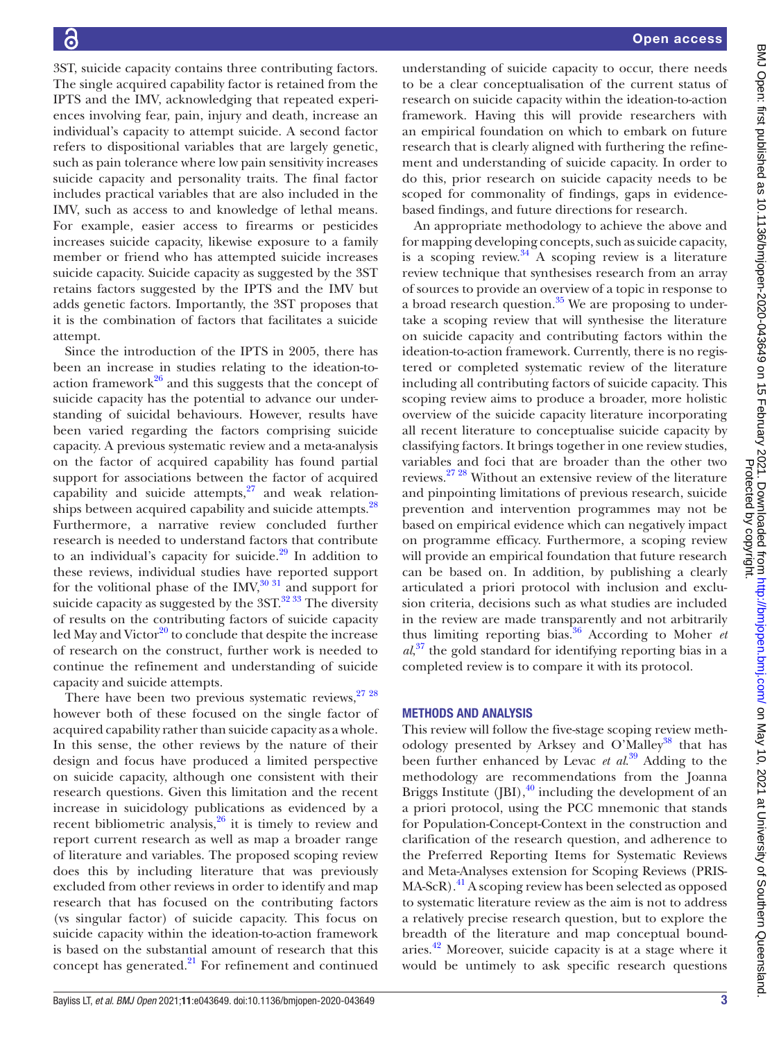3ST, suicide capacity contains three contributing factors. The single acquired capability factor is retained from the IPTS and the IMV, acknowledging that repeated experiences involving fear, pain, injury and death, increase an individual's capacity to attempt suicide. A second factor refers to dispositional variables that are largely genetic, such as pain tolerance where low pain sensitivity increases suicide capacity and personality traits. The final factor includes practical variables that are also included in the IMV, such as access to and knowledge of lethal means. For example, easier access to firearms or pesticides increases suicide capacity, likewise exposure to a family member or friend who has attempted suicide increases suicide capacity. Suicide capacity as suggested by the 3ST retains factors suggested by the IPTS and the IMV but adds genetic factors. Importantly, the 3ST proposes that it is the combination of factors that facilitates a suicide attempt.

Since the introduction of the IPTS in 2005, there has been an increase in studies relating to the ideation-toaction framework $^{26}$  and this suggests that the concept of suicide capacity has the potential to advance our understanding of suicidal behaviours. However, results have been varied regarding the factors comprising suicide capacity. A previous systematic review and a meta-analysis on the factor of acquired capability has found partial support for associations between the factor of acquired capability and suicide attempts,  $27$  and weak relationships between acquired capability and suicide attempts.<sup>28</sup> Furthermore, a narrative review concluded further research is needed to understand factors that contribute to an individual's capacity for suicide. $29$  In addition to these reviews, individual studies have reported support for the volitional phase of the  $IMV<sub>30</sub><sup>31</sup>$  and support for suicide capacity as suggested by the  $3ST<sup>3233</sup>$  The diversity of results on the contributing factors of suicide capacity led May and Victor $^{20}$  to conclude that despite the increase of research on the construct, further work is needed to continue the refinement and understanding of suicide capacity and suicide attempts.

There have been two previous systematic reviews,  $2728$ however both of these focused on the single factor of acquired capability rather than suicide capacity as a whole. In this sense, the other reviews by the nature of their design and focus have produced a limited perspective on suicide capacity, although one consistent with their research questions. Given this limitation and the recent increase in suicidology publications as evidenced by a recent bibliometric analysis, $26$  it is timely to review and report current research as well as map a broader range of literature and variables. The proposed scoping review does this by including literature that was previously excluded from other reviews in order to identify and map research that has focused on the contributing factors (vs singular factor) of suicide capacity. This focus on suicide capacity within the ideation-to-action framework is based on the substantial amount of research that this concept has generated.<sup>21</sup> For refinement and continued

understanding of suicide capacity to occur, there needs to be a clear conceptualisation of the current status of research on suicide capacity within the ideation-to-action framework. Having this will provide researchers with an empirical foundation on which to embark on future research that is clearly aligned with furthering the refinement and understanding of suicide capacity. In order to do this, prior research on suicide capacity needs to be scoped for commonality of findings, gaps in evidencebased findings, and future directions for research.

An appropriate methodology to achieve the above and for mapping developing concepts, such as suicide capacity, is a scoping review. $34$  A scoping review is a literature review technique that synthesises research from an array of sources to provide an overview of a topic in response to a broad research question. $35$  We are proposing to undertake a scoping review that will synthesise the literature on suicide capacity and contributing factors within the ideation-to-action framework. Currently, there is no registered or completed systematic review of the literature including all contributing factors of suicide capacity. This scoping review aims to produce a broader, more holistic overview of the suicide capacity literature incorporating all recent literature to conceptualise suicide capacity by classifying factors. It brings together in one review studies, variables and foci that are broader than the other two reviews.[27 28](#page-6-22) Without an extensive review of the literature and pinpointing limitations of previous research, suicide prevention and intervention programmes may not be based on empirical evidence which can negatively impact on programme efficacy. Furthermore, a scoping review will provide an empirical foundation that future research can be based on. In addition, by publishing a clearly articulated a priori protocol with inclusion and exclusion criteria, decisions such as what studies are included in the review are made transparently and not arbitrarily thus limiting reporting bias.[36](#page-6-30) According to Moher *et al*, [37](#page-6-31) the gold standard for identifying reporting bias in a completed review is to compare it with its protocol.

## METHODS AND ANALYSIS

This review will follow the five-stage scoping review methodology presented by Arksey and O'Malley<sup>38</sup> that has been further enhanced by Levac *et al*. [39](#page-6-33) Adding to the methodology are recommendations from the Joanna Briggs Institute (JBI), $^{40}$  including the development of an a priori protocol, using the PCC mnemonic that stands for Population-Concept-Context in the construction and clarification of the research question, and adherence to the Preferred Reporting Items for Systematic Reviews and Meta-Analyses extension for Scoping Reviews (PRIS-MA-ScR).<sup>41</sup> A scoping review has been selected as opposed to systematic literature review as the aim is not to address a relatively precise research question, but to explore the breadth of the literature and map conceptual boundaries.[42](#page-6-36) Moreover, suicide capacity is at a stage where it would be untimely to ask specific research questions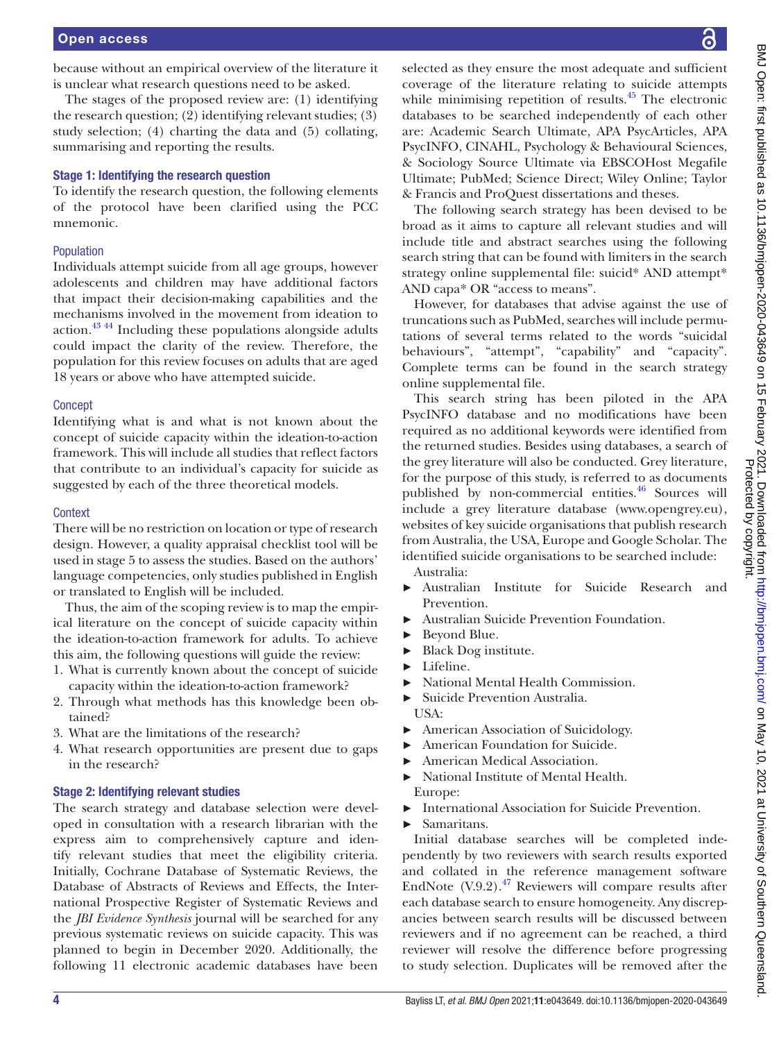because without an empirical overview of the literature it is unclear what research questions need to be asked.

The stages of the proposed review are: (1) identifying the research question; (2) identifying relevant studies; (3) study selection; (4) charting the data and (5) collating, summarising and reporting the results.

## Stage 1: Identifying the research question

To identify the research question, the following elements of the protocol have been clarified using the PCC mnemonic.

### Population

Individuals attempt suicide from all age groups, however adolescents and children may have additional factors that impact their decision-making capabilities and the mechanisms involved in the movement from ideation to action[.43 44](#page-6-37) Including these populations alongside adults could impact the clarity of the review. Therefore, the population for this review focuses on adults that are aged 18 years or above who have attempted suicide.

#### **Concept**

Identifying what is and what is not known about the concept of suicide capacity within the ideation-to-action framework. This will include all studies that reflect factors that contribute to an individual's capacity for suicide as suggested by each of the three theoretical models.

## **Context**

There will be no restriction on location or type of research design. However, a quality appraisal checklist tool will be used in stage 5 to assess the studies. Based on the authors' language competencies, only studies published in English or translated to English will be included.

Thus, the aim of the scoping review is to map the empirical literature on the concept of suicide capacity within the ideation-to-action framework for adults. To achieve this aim, the following questions will guide the review:

- 1. What is currently known about the concept of suicide capacity within the ideation-to-action framework?
- 2. Through what methods has this knowledge been obtained?
- 3. What are the limitations of the research?
- 4. What research opportunities are present due to gaps in the research?

#### Stage 2: Identifying relevant studies

The search strategy and database selection were developed in consultation with a research librarian with the express aim to comprehensively capture and identify relevant studies that meet the eligibility criteria. Initially, Cochrane Database of Systematic Reviews, the Database of Abstracts of Reviews and Effects, the International Prospective Register of Systematic Reviews and the *JBI Evidence Synthesis* journal will be searched for any previous systematic reviews on suicide capacity. This was planned to begin in December 2020. Additionally, the following 11 electronic academic databases have been

selected as they ensure the most adequate and sufficient coverage of the literature relating to suicide attempts while minimising repetition of results.<sup>[45](#page-6-38)</sup> The electronic databases to be searched independently of each other are: Academic Search Ultimate, APA PsycArticles, APA PsycINFO, CINAHL, Psychology & Behavioural Sciences, & Sociology Source Ultimate via EBSCOHost Megafile Ultimate; PubMed; Science Direct; Wiley Online; Taylor & Francis and ProQuest dissertations and theses.

The following search strategy has been devised to be broad as it aims to capture all relevant studies and will include title and abstract searches using the following search string that can be found with limiters in the search strategy [online supplemental file](https://dx.doi.org/10.1136/bmjopen-2020-043649): suicid\* AND attempt\* AND capa\* OR "access to means".

However, for databases that advise against the use of truncations such as PubMed, searches will include permutations of several terms related to the words "suicidal behaviours", "attempt", "capability" and "capacity". Complete terms can be found in the search strategy [online supplemental file](https://dx.doi.org/10.1136/bmjopen-2020-043649).

This search string has been piloted in the APA PsycINFO database and no modifications have been required as no additional keywords were identified from the returned studies. Besides using databases, a search of the grey literature will also be conducted. Grey literature, for the purpose of this study, is referred to as documents published by non-commercial entities.<sup>46</sup> Sources will include a grey literature database [\(www.opengrey.eu\)](www.opengrey.eu), websites of key suicide organisations that publish research from Australia, the USA, Europe and Google Scholar. The identified suicide organisations to be searched include:

Australia:

- ► Australian Institute for Suicide Research and Prevention.
- ► Australian Suicide Prevention Foundation.
- ► Beyond Blue.
- ► Black Dog institute.
- Lifeline.
- ► National Mental Health Commission.
- Suicide Prevention Australia.
- USA:
- ► American Association of Suicidology.
- ► American Foundation for Suicide.
- ► American Medical Association.
- ► National Institute of Mental Health. Europe:
- International Association for Suicide Prevention.
- ► Samaritans.

Initial database searches will be completed independently by two reviewers with search results exported and collated in the reference management software EndNote  $(V.9.2)$ .<sup>47</sup> Reviewers will compare results after each database search to ensure homogeneity. Any discrepancies between search results will be discussed between reviewers and if no agreement can be reached, a third reviewer will resolve the difference before progressing to study selection. Duplicates will be removed after the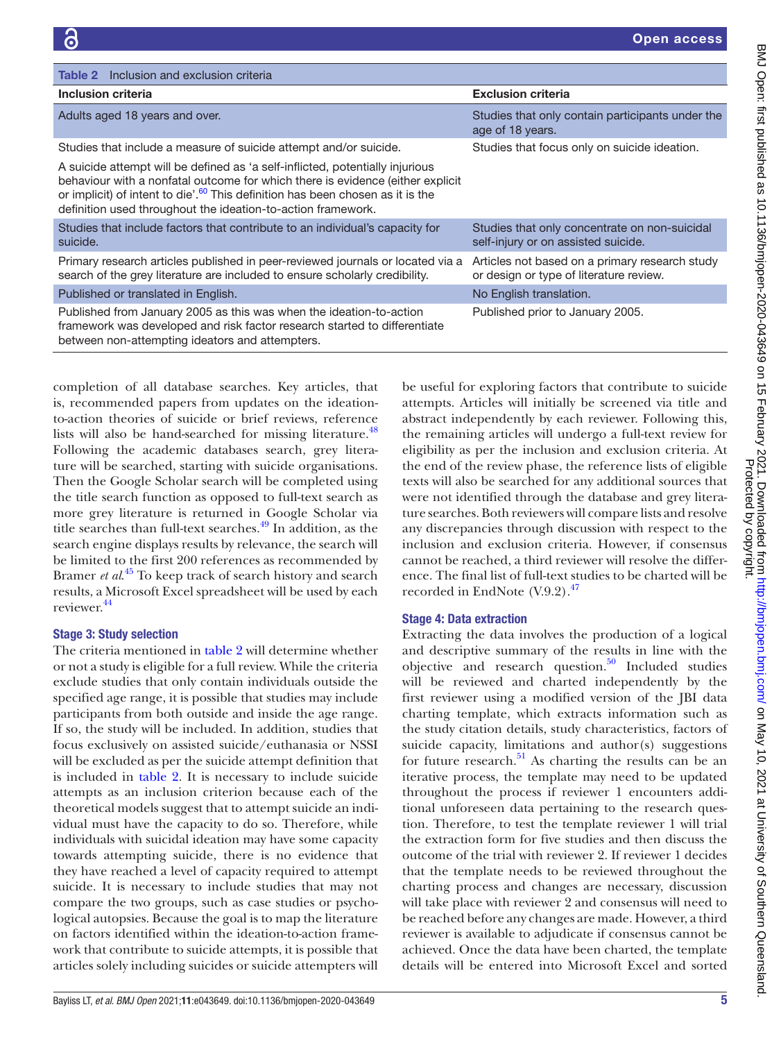<span id="page-4-0"></span>

| <b>Table 2</b> Inclusion and exclusion criteria                                                                                                                                                                                                                                                                               |                                                                                           |
|-------------------------------------------------------------------------------------------------------------------------------------------------------------------------------------------------------------------------------------------------------------------------------------------------------------------------------|-------------------------------------------------------------------------------------------|
| Inclusion criteria                                                                                                                                                                                                                                                                                                            | <b>Exclusion criteria</b>                                                                 |
| Adults aged 18 years and over.                                                                                                                                                                                                                                                                                                | Studies that only contain participants under the<br>age of 18 years.                      |
| Studies that include a measure of suicide attempt and/or suicide.                                                                                                                                                                                                                                                             | Studies that focus only on suicide ideation.                                              |
| A suicide attempt will be defined as 'a self-inflicted, potentially injurious<br>behaviour with a nonfatal outcome for which there is evidence (either explicit<br>or implicit) of intent to die'. <sup>60</sup> This definition has been chosen as it is the<br>definition used throughout the ideation-to-action framework. |                                                                                           |
| Studies that include factors that contribute to an individual's capacity for<br>suicide.                                                                                                                                                                                                                                      | Studies that only concentrate on non-suicidal<br>self-injury or on assisted suicide.      |
| Primary research articles published in peer-reviewed journals or located via a<br>search of the grey literature are included to ensure scholarly credibility.                                                                                                                                                                 | Articles not based on a primary research study<br>or design or type of literature review. |
| Published or translated in English.                                                                                                                                                                                                                                                                                           | No English translation.                                                                   |
| Published from January 2005 as this was when the ideation-to-action<br>framework was developed and risk factor research started to differentiate<br>between non-attempting ideators and attempters.                                                                                                                           | Published prior to January 2005.                                                          |

completion of all database searches. Key articles, that is, recommended papers from updates on the ideationto-action theories of suicide or brief reviews, reference lists will also be hand-searched for missing literature.<sup>[48](#page-6-41)</sup> Following the academic databases search, grey literature will be searched, starting with suicide organisations. Then the Google Scholar search will be completed using the title search function as opposed to full-text search as more grey literature is returned in Google Scholar via title searches than full-text searches.<sup>[49](#page-6-42)</sup> In addition, as the search engine displays results by relevance, the search will be limited to the first 200 references as recommended by Bramer *et al*. [45](#page-6-38) To keep track of search history and search results, a Microsoft Excel spreadsheet will be used by each reviewer.[44](#page-6-43)

## Stage 3: Study selection

The criteria mentioned in [table](#page-4-0) 2 will determine whether or not a study is eligible for a full review. While the criteria exclude studies that only contain individuals outside the specified age range, it is possible that studies may include participants from both outside and inside the age range. If so, the study will be included. In addition, studies that focus exclusively on assisted suicide/euthanasia or NSSI will be excluded as per the suicide attempt definition that is included in [table](#page-4-0) 2. It is necessary to include suicide attempts as an inclusion criterion because each of the theoretical models suggest that to attempt suicide an individual must have the capacity to do so. Therefore, while individuals with suicidal ideation may have some capacity towards attempting suicide, there is no evidence that they have reached a level of capacity required to attempt suicide. It is necessary to include studies that may not compare the two groups, such as case studies or psychological autopsies. Because the goal is to map the literature on factors identified within the ideation-to-action framework that contribute to suicide attempts, it is possible that articles solely including suicides or suicide attempters will

be useful for exploring factors that contribute to suicide attempts. Articles will initially be screened via title and abstract independently by each reviewer. Following this, the remaining articles will undergo a full-text review for eligibility as per the inclusion and exclusion criteria. At the end of the review phase, the reference lists of eligible texts will also be searched for any additional sources that were not identified through the database and grey literature searches. Both reviewers will compare lists and resolve any discrepancies through discussion with respect to the inclusion and exclusion criteria. However, if consensus cannot be reached, a third reviewer will resolve the difference. The final list of full-text studies to be charted will be recorded in EndNote  $(V.9.2)$ .<sup>47</sup>

## Stage 4: Data extraction

Extracting the data involves the production of a logical and descriptive summary of the results in line with the objective and research question. $50$  Included studies will be reviewed and charted independently by the first reviewer using a modified version of the JBI data charting template, which extracts information such as the study citation details, study characteristics, factors of suicide capacity, limitations and author(s) suggestions for future research. $51$  As charting the results can be an iterative process, the template may need to be updated throughout the process if reviewer 1 encounters additional unforeseen data pertaining to the research question. Therefore, to test the template reviewer 1 will trial the extraction form for five studies and then discuss the outcome of the trial with reviewer 2. If reviewer 1 decides that the template needs to be reviewed throughout the charting process and changes are necessary, discussion will take place with reviewer 2 and consensus will need to be reached before any changes are made. However, a third reviewer is available to adjudicate if consensus cannot be achieved. Once the data have been charted, the template details will be entered into Microsoft Excel and sorted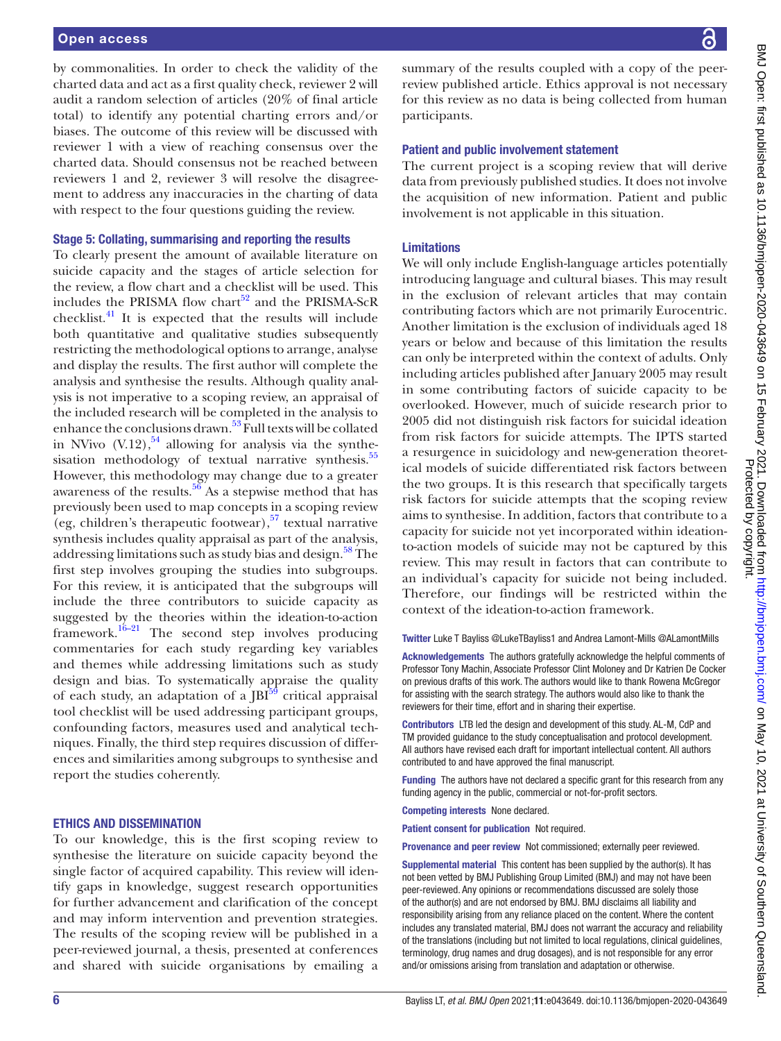#### Open access

by commonalities. In order to check the validity of the charted data and act as a first quality check, reviewer 2 will audit a random selection of articles (20% of final article total) to identify any potential charting errors and/or biases. The outcome of this review will be discussed with reviewer 1 with a view of reaching consensus over the charted data. Should consensus not be reached between reviewers 1 and 2, reviewer 3 will resolve the disagreement to address any inaccuracies in the charting of data with respect to the four questions guiding the review.

#### Stage 5: Collating, summarising and reporting the results

To clearly present the amount of available literature on suicide capacity and the stages of article selection for the review, a flow chart and a checklist will be used. This includes the PRISMA flow chart<sup>52</sup> and the PRISMA-ScR checklist. $41$  It is expected that the results will include both quantitative and qualitative studies subsequently restricting the methodological options to arrange, analyse and display the results. The first author will complete the analysis and synthesise the results. Although quality analysis is not imperative to a scoping review, an appraisal of the included research will be completed in the analysis to enhance the conclusions drawn.<sup>53</sup> Full texts will be collated in NVivo  $(V.12)$ ,  $^{54}$  allowing for analysis via the synthesisation methodology of textual narrative synthesis.<sup>55</sup> However, this methodology may change due to a greater awareness of the results. $56$  As a stepwise method that has previously been used to map concepts in a scoping review (eg, children's therapeutic footwear),  $57$  textual narrative synthesis includes quality appraisal as part of the analysis, addressing limitations such as study bias and design.<sup>58</sup> The first step involves grouping the studies into subgroups. For this review, it is anticipated that the subgroups will include the three contributors to suicide capacity as suggested by the theories within the ideation-to-action framework.[16–21](#page-6-14) The second step involves producing commentaries for each study regarding key variables and themes while addressing limitations such as study design and bias. To systematically appraise the quality of each study, an adaptation of a  $[BI<sup>59</sup>]$  critical appraisal tool checklist will be used addressing participant groups, confounding factors, measures used and analytical techniques. Finally, the third step requires discussion of differences and similarities among subgroups to synthesise and report the studies coherently.

#### ETHICS AND DISSEMINATION

To our knowledge, this is the first scoping review to synthesise the literature on suicide capacity beyond the single factor of acquired capability. This review will identify gaps in knowledge, suggest research opportunities for further advancement and clarification of the concept and may inform intervention and prevention strategies. The results of the scoping review will be published in a peer-reviewed journal, a thesis, presented at conferences and shared with suicide organisations by emailing a

summary of the results coupled with a copy of the peerreview published article. Ethics approval is not necessary for this review as no data is being collected from human participants.

#### Patient and public involvement statement

The current project is a scoping review that will derive data from previously published studies. It does not involve the acquisition of new information. Patient and public involvement is not applicable in this situation.

#### Limitations

We will only include English-language articles potentially introducing language and cultural biases. This may result in the exclusion of relevant articles that may contain contributing factors which are not primarily Eurocentric. Another limitation is the exclusion of individuals aged 18 years or below and because of this limitation the results can only be interpreted within the context of adults. Only including articles published after January 2005 may result in some contributing factors of suicide capacity to be overlooked. However, much of suicide research prior to 2005 did not distinguish risk factors for suicidal ideation from risk factors for suicide attempts. The IPTS started a resurgence in suicidology and new-generation theoretical models of suicide differentiated risk factors between the two groups. It is this research that specifically targets risk factors for suicide attempts that the scoping review aims to synthesise. In addition, factors that contribute to a capacity for suicide not yet incorporated within ideationto-action models of suicide may not be captured by this review. This may result in factors that can contribute to an individual's capacity for suicide not being included. Therefore, our findings will be restricted within the context of the ideation-to-action framework.

Twitter Luke T Bayliss [@LukeTBayliss1](https://twitter.com/LukeTBayliss1) and Andrea Lamont-Mills [@ALamontMills](https://twitter.com/ALamontMills)

Acknowledgements The authors gratefully acknowledge the helpful comments of Professor Tony Machin, Associate Professor Clint Moloney and Dr Katrien De Cocker on previous drafts of this work. The authors would like to thank Rowena McGregor for assisting with the search strategy. The authors would also like to thank the reviewers for their time, effort and in sharing their expertise.

Contributors LTB led the design and development of this study. AL-M, CdP and TM provided guidance to the study conceptualisation and protocol development. All authors have revised each draft for important intellectual content. All authors contributed to and have approved the final manuscript.

Funding The authors have not declared a specific grant for this research from any funding agency in the public, commercial or not-for-profit sectors.

Competing interests None declared.

Patient consent for publication Not required.

Provenance and peer review Not commissioned; externally peer reviewed.

Supplemental material This content has been supplied by the author(s). It has not been vetted by BMJ Publishing Group Limited (BMJ) and may not have been peer-reviewed. Any opinions or recommendations discussed are solely those of the author(s) and are not endorsed by BMJ. BMJ disclaims all liability and responsibility arising from any reliance placed on the content. Where the content includes any translated material, BMJ does not warrant the accuracy and reliability of the translations (including but not limited to local regulations, clinical guidelines, terminology, drug names and drug dosages), and is not responsible for any error and/or omissions arising from translation and adaptation or otherwise.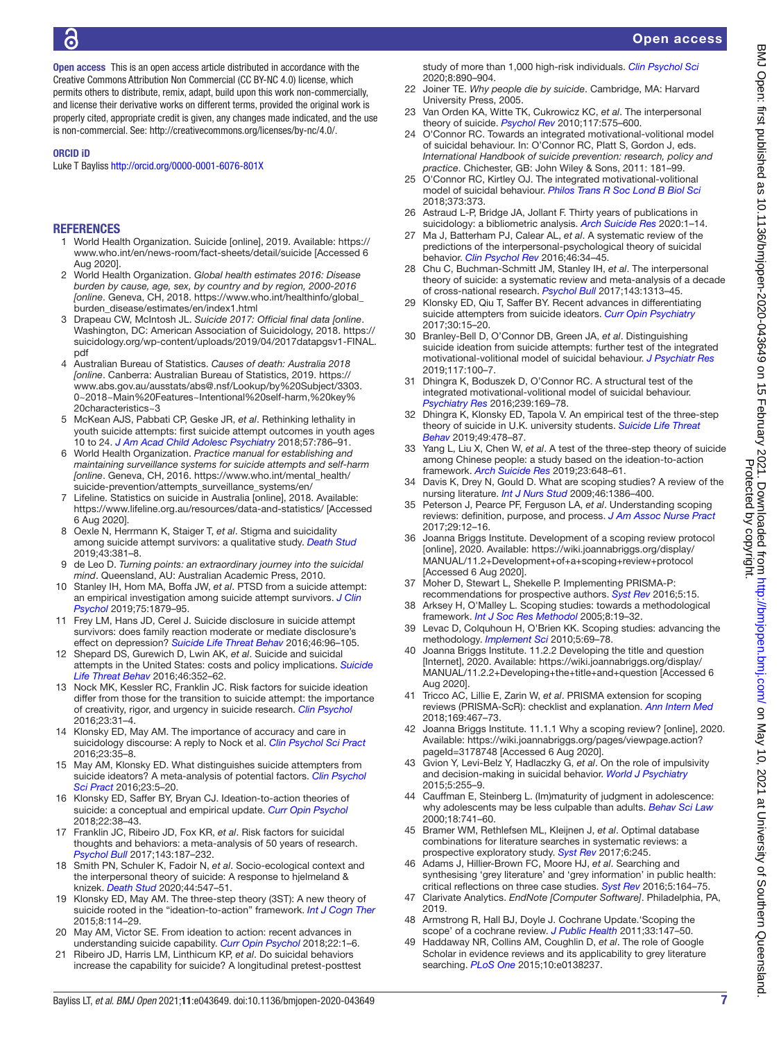Open access

Open access This is an open access article distributed in accordance with the Creative Commons Attribution Non Commercial (CC BY-NC 4.0) license, which permits others to distribute, remix, adapt, build upon this work non-commercially, and license their derivative works on different terms, provided the original work is properly cited, appropriate credit is given, any changes made indicated, and the use is non-commercial. See: [http://creativecommons.org/licenses/by-nc/4.0/.](http://creativecommons.org/licenses/by-nc/4.0/)

#### ORCID iD

Luke T Bayliss <http://orcid.org/0000-0001-6076-801X>

#### **REFERENCES**

- <span id="page-6-0"></span>1 World Health Organization. Suicide [online], 2019. Available: [https://](https://www.who.int/en/news-room/fact-sheets/detail/suicide) [www.who.int/en/news-room/fact-sheets/detail/suicide](https://www.who.int/en/news-room/fact-sheets/detail/suicide) [Accessed 6 Aug 2020].
- <span id="page-6-1"></span>2 World Health Organization. *Global health estimates 2016: Disease burden by cause, age, sex, by country and by region, 2000-2016 [online*. Geneva, CH, 2018. [https://www.who.int/healthinfo/global\\_](https://www.who.int/healthinfo/global_burden_disease/estimates/en/index1.html) [burden\\_disease/estimates/en/index1.html](https://www.who.int/healthinfo/global_burden_disease/estimates/en/index1.html)
- <span id="page-6-2"></span>3 Drapeau CW, McIntosh JL. *Suicide 2017: Official final data [online*. Washington, DC: American Association of Suicidology, 2018. [https://](https://suicidology.org/wp-content/uploads/2019/04/2017datapgsv1-FINAL.pdf) [suicidology.org/wp-content/uploads/2019/04/2017datapgsv1-FINAL.](https://suicidology.org/wp-content/uploads/2019/04/2017datapgsv1-FINAL.pdf) [pdf](https://suicidology.org/wp-content/uploads/2019/04/2017datapgsv1-FINAL.pdf)
- <span id="page-6-3"></span>4 Australian Bureau of Statistics. *Causes of death: Australia 2018 [online*. Canberra: Australian Bureau of Statistics, 2019. [https://](https://www.abs.gov.au/ausstats/abs@.nsf/Lookup/by%20Subject/3303.0~2018~Main%20Features~Intentional%20self-harm,%20key%20characteristics~3) [www.abs.gov.au/ausstats/abs@.nsf/Lookup/by%20Subject/3303.](https://www.abs.gov.au/ausstats/abs@.nsf/Lookup/by%20Subject/3303.0~2018~Main%20Features~Intentional%20self-harm,%20key%20characteristics~3) [0~2018~Main%20Features~Intentional%20self-harm,%20key%](https://www.abs.gov.au/ausstats/abs@.nsf/Lookup/by%20Subject/3303.0~2018~Main%20Features~Intentional%20self-harm,%20key%20characteristics~3) [20characteristics~3](https://www.abs.gov.au/ausstats/abs@.nsf/Lookup/by%20Subject/3303.0~2018~Main%20Features~Intentional%20self-harm,%20key%20characteristics~3)
- <span id="page-6-4"></span>5 McKean AJS, Pabbati CP, Geske JR, *et al*. Rethinking lethality in youth suicide attempts: first suicide attempt outcomes in youth ages 10 to 24. *[J Am Acad Child Adolesc Psychiatry](http://dx.doi.org/10.1016/j.jaac.2018.04.021)* 2018;57:786–91.
- 6 World Health Organization. *Practice manual for establishing and maintaining surveillance systems for suicide attempts and self-harm [online*. Geneva, CH, 2016. [https://www.who.int/mental\\_health/](https://www.who.int/mental_health/suicide-prevention/attempts_surveillance_systems/en/) [suicide-prevention/attempts\\_surveillance\\_systems/en/](https://www.who.int/mental_health/suicide-prevention/attempts_surveillance_systems/en/)
- <span id="page-6-5"></span>7 Lifeline. Statistics on suicide in Australia [online], 2018. Available: <https://www.lifeline.org.au/resources/data-and-statistics/> [Accessed 6 Aug 2020].
- <span id="page-6-6"></span>8 Oexle N, Herrmann K, Staiger T, *et al*. Stigma and suicidality among suicide attempt survivors: a qualitative study. *[Death Stud](http://dx.doi.org/10.1080/07481187.2018.1474286)* 2019;43:381–8.
- <span id="page-6-7"></span>9 de Leo D. *Turning points: an extraordinary journey into the suicidal mind*. Queensland, AU: Australian Academic Press, 2010.
- <span id="page-6-8"></span>10 Stanley IH, Hom MA, Boffa JW, *et al*. PTSD from a suicide attempt: an empirical investigation among suicide attempt survivors. *[J Clin](http://dx.doi.org/10.1002/jclp.22833)  [Psychol](http://dx.doi.org/10.1002/jclp.22833)* 2019;75:1879–95.
- <span id="page-6-9"></span>11 Frey LM, Hans JD, Cerel J. Suicide disclosure in suicide attempt survivors: does family reaction moderate or mediate disclosure's effect on depression? *[Suicide Life Threat Behav](http://dx.doi.org/10.1111/sltb.12175)* 2016;46:96–105.
- <span id="page-6-10"></span>12 Shepard DS, Gurewich D, Lwin AK, *et al*. Suicide and suicidal attempts in the United States: costs and policy implications. *[Suicide](http://dx.doi.org/10.1111/sltb.12225)  [Life Threat Behav](http://dx.doi.org/10.1111/sltb.12225)* 2016;46:352–62.
- <span id="page-6-11"></span>13 Nock MK, Kessler RC, Franklin JC. Risk factors for suicide ideation differ from those for the transition to suicide attempt: the importance of creativity, rigor, and urgency in suicide research. *[Clin Psychol](http://dx.doi.org/10.1111/cpsp.12133)* 2016;23:31–4.
- <span id="page-6-12"></span>14 Klonsky ED, May AM. The importance of accuracy and care in suicidology discourse: A reply to Nock et al. *[Clin Psychol Sci Pract](http://dx.doi.org/10.1111/cpsp.12132)* 2016;23:35–8.
- <span id="page-6-13"></span>15 May AM, Klonsky ED. What distinguishes suicide attempters from suicide ideators? A meta-analysis of potential factors. *[Clin Psychol](http://dx.doi.org/10.1111/cpsp.12136)  [Sci Pract](http://dx.doi.org/10.1111/cpsp.12136)* 2016;23:5–20.
- <span id="page-6-14"></span>16 Klonsky ED, Saffer BY, Bryan CJ. Ideation-to-action theories of suicide: a conceptual and empirical update. *[Curr Opin Psychol](http://dx.doi.org/10.1016/j.copsyc.2017.07.020)* 2018;22:38–43.
- <span id="page-6-15"></span>17 Franklin JC, Ribeiro JD, Fox KR, *et al*. Risk factors for suicidal thoughts and behaviors: a meta-analysis of 50 years of research. *[Psychol Bull](http://dx.doi.org/10.1037/bul0000084)* 2017;143:187–232.
- <span id="page-6-16"></span>18 Smith PN, Schuler K, Fadoir N, *et al*. Socio-ecological context and the interpersonal theory of suicide: A response to hjelmeland & knizek. *[Death Stud](http://dx.doi.org/10.1080/07481187.2019.1586799)* 2020;44:547–51.
- <span id="page-6-17"></span>19 Klonsky ED, May AM. The three-step theory (3ST): A new theory of suicide rooted in the "ideation-to-action" framework. *[Int J Cogn Ther](http://dx.doi.org/10.1521/ijct.2015.8.2.114)* 2015;8:114–29.
- <span id="page-6-27"></span>20 May AM, Victor SE. From ideation to action: recent advances in understanding suicide capability. *[Curr Opin Psychol](http://dx.doi.org/10.1016/j.copsyc.2017.07.007)* 2018;22:1–6.
- <span id="page-6-18"></span>21 Ribeiro JD, Harris LM, Linthicum KP, *et al*. Do suicidal behaviors increase the capability for suicide? A longitudinal pretest-posttest

study of more than 1,000 high-risk individuals. *[Clin Psychol Sci](http://dx.doi.org/10.1177/2167702620921511)* 2020;8:890–904.

- <span id="page-6-19"></span>22 Joiner TE. *Why people die by suicide*. Cambridge, MA: Harvard University Press, 2005.
- 23 Van Orden KA, Witte TK, Cukrowicz KC, *et al*. The interpersonal theory of suicide. *[Psychol Rev](http://dx.doi.org/10.1037/a0018697)* 2010;117:575–600.
- <span id="page-6-20"></span>24 O'Connor RC. Towards an integrated motivational-volitional model of suicidal behaviour. In: O'Connor RC, Platt S, Gordon J, eds. *International Handbook of suicide prevention: research, policy and practice*. Chichester, GB: John Wiley & Sons, 2011: 181–99.
- 25 O'Connor RC, Kirtley OJ. The integrated motivational-volitional model of suicidal behaviour. *[Philos Trans R Soc Lond B Biol Sci](http://dx.doi.org/10.1098/rstb.2017.0268)* 2018;373:373.
- <span id="page-6-21"></span>26 Astraud L-P, Bridge JA, Jollant F. Thirty years of publications in suicidology: a bibliometric analysis. *[Arch Suicide Res](http://dx.doi.org/10.1080/13811118.2020.1746944)* 2020:1–14.
- <span id="page-6-22"></span>Ma J, Batterham PJ, Calear AL, et al. A systematic review of the predictions of the interpersonal-psychological theory of suicidal behavior. *[Clin Psychol Rev](http://dx.doi.org/10.1016/j.cpr.2016.04.008)* 2016;46:34–45.
- <span id="page-6-23"></span>28 Chu C, Buchman-Schmitt JM, Stanley IH, *et al*. The interpersonal theory of suicide: a systematic review and meta-analysis of a decade of cross-national research. *[Psychol Bull](http://dx.doi.org/10.1037/bul0000123)* 2017;143:1313–45.
- <span id="page-6-24"></span>29 Klonsky ED, Qiu T, Saffer BY. Recent advances in differentiating suicide attempters from suicide ideators. *[Curr Opin Psychiatry](http://dx.doi.org/10.1097/YCO.0000000000000294)* 2017;30:15–20.
- <span id="page-6-25"></span>30 Branley-Bell D, O'Connor DB, Green JA, *et al*. Distinguishing suicide ideation from suicide attempts: further test of the integrated motivational-volitional model of suicidal behaviour. *[J Psychiatr Res](http://dx.doi.org/10.1016/j.jpsychires.2019.07.007)* 2019;117:100–7.
- 31 Dhingra K, Boduszek D, O'Connor RC. A structural test of the integrated motivational-volitional model of suicidal behaviour. *[Psychiatry Res](http://dx.doi.org/10.1016/j.psychres.2016.03.023)* 2016;239:169–78.
- <span id="page-6-26"></span>32 Dhingra K, Klonsky ED, Tapola V. An empirical test of the three-step theory of suicide in U.K. university students. *[Suicide Life Threat](http://dx.doi.org/10.1111/sltb.12437)  [Behav](http://dx.doi.org/10.1111/sltb.12437)* 2019;49:478–87.
- 33 Yang L, Liu X, Chen W, *et al*. A test of the three-step theory of suicide among Chinese people: a study based on the ideation-to-action framework. *[Arch Suicide Res](http://dx.doi.org/10.1080/13811118.2018.1497563)* 2019;23:648–61.
- <span id="page-6-28"></span>34 Davis K, Drey N, Gould D. What are scoping studies? A review of the nursing literature. *[Int J Nurs Stud](http://dx.doi.org/10.1016/j.ijnurstu.2009.02.010)* 2009;46:1386–400.
- <span id="page-6-29"></span>35 Peterson J, Pearce PF, Ferguson LA, *et al*. Understanding scoping reviews: definition, purpose, and process. *[J Am Assoc Nurse Pract](http://dx.doi.org/10.1002/2327-6924.12380)* 2017;29:12–16.
- <span id="page-6-30"></span>36 Joanna Briggs Institute. Development of a scoping review protocol [online], 2020. Available: [https://wiki.joannabriggs.org/display/](https://wiki.joannabriggs.org/display/MANUAL/11.2+Development+of+a+scoping+review+protocol) [MANUAL/11.2+Development+of+a+scoping+review+protocol](https://wiki.joannabriggs.org/display/MANUAL/11.2+Development+of+a+scoping+review+protocol)  [Accessed 6 Aug 2020].
- <span id="page-6-31"></span>37 Moher D, Stewart L, Shekelle P. Implementing PRISMA-P: recommendations for prospective authors. *[Syst Rev](http://dx.doi.org/10.1186/s13643-016-0191-y)* 2016;5:15.
- <span id="page-6-32"></span>38 Arksey H, O'Malley L. Scoping studies: towards a methodological framework. *[Int J Soc Res Methodol](http://dx.doi.org/10.1080/1364557032000119616)* 2005;8:19–32.
- <span id="page-6-33"></span>39 Levac D, Colquhoun H, O'Brien KK. Scoping studies: advancing the methodology. *[Implement Sci](http://dx.doi.org/10.1186/1748-5908-5-69)* 2010;5:69–78.
- <span id="page-6-34"></span>40 Joanna Briggs Institute. 11.2.2 Developing the title and question [Internet], 2020. Available: [https://wiki.joannabriggs.org/display/](https://wiki.joannabriggs.org/display/MANUAL/11.2.2+Developing+the+title+and+question) [MANUAL/11.2.2+Developing+the+title+and+question](https://wiki.joannabriggs.org/display/MANUAL/11.2.2+Developing+the+title+and+question) [Accessed 6 Aug 2020].
- <span id="page-6-35"></span>41 Tricco AC, Lillie E, Zarin W, *et al*. PRISMA extension for scoping reviews (PRISMA-ScR): checklist and explanation. *[Ann Intern Med](http://dx.doi.org/10.7326/M18-0850)* 2018;169:467–73.
- <span id="page-6-36"></span>42 Joanna Briggs Institute. 11.1.1 Why a scoping review? [online], 2020. Available: [https://wiki.joannabriggs.org/pages/viewpage.action?](https://wiki.joannabriggs.org/pages/viewpage.action?pageId=3178748) [pageId=3178748](https://wiki.joannabriggs.org/pages/viewpage.action?pageId=3178748) [Accessed 6 Aug 2020].
- <span id="page-6-37"></span>43 Gvion Y, Levi-Belz Y, Hadlaczky G, *et al*. On the role of impulsivity and decision-making in suicidal behavior. *[World J Psychiatry](http://dx.doi.org/10.5498/wjp.v5.i3.255)* 2015;5:255–9.
- <span id="page-6-43"></span>44 Cauffman E, Steinberg L. (Im)maturity of judgment in adolescence: why adolescents may be less culpable than adults. *[Behav Sci Law](http://dx.doi.org/10.1002/bsl.416)* 2000;18:741–60.
- <span id="page-6-38"></span>45 Bramer WM, Rethlefsen ML, Kleijnen J, *et al*. Optimal database combinations for literature searches in systematic reviews: a prospective exploratory study. *[Syst Rev](http://dx.doi.org/10.1186/s13643-017-0644-y)* 2017;6:245.
- <span id="page-6-39"></span>46 Adams J, Hillier-Brown FC, Moore HJ, *et al*. Searching and synthesising 'grey literature' and 'grey information' in public health: critical reflections on three case studies. *[Syst Rev](http://dx.doi.org/10.1186/s13643-016-0337-y)* 2016;5:164–75.
- <span id="page-6-40"></span>47 Clarivate Analytics. *EndNote [Computer Software]*. Philadelphia, PA, 2019.
- <span id="page-6-41"></span>48 Armstrong R, Hall BJ, Doyle J. Cochrane Update.'Scoping the scope' of a cochrane review. *[J Public Health](http://dx.doi.org/10.1093/pubmed/fdr015)* 2011;33:147–50.
- <span id="page-6-42"></span>49 Haddaway NR, Collins AM, Coughlin D, *et al*. The role of Google Scholar in evidence reviews and its applicability to grey literature searching. *[PLoS One](http://dx.doi.org/10.1371/journal.pone.0138237)* 2015;10:e0138237.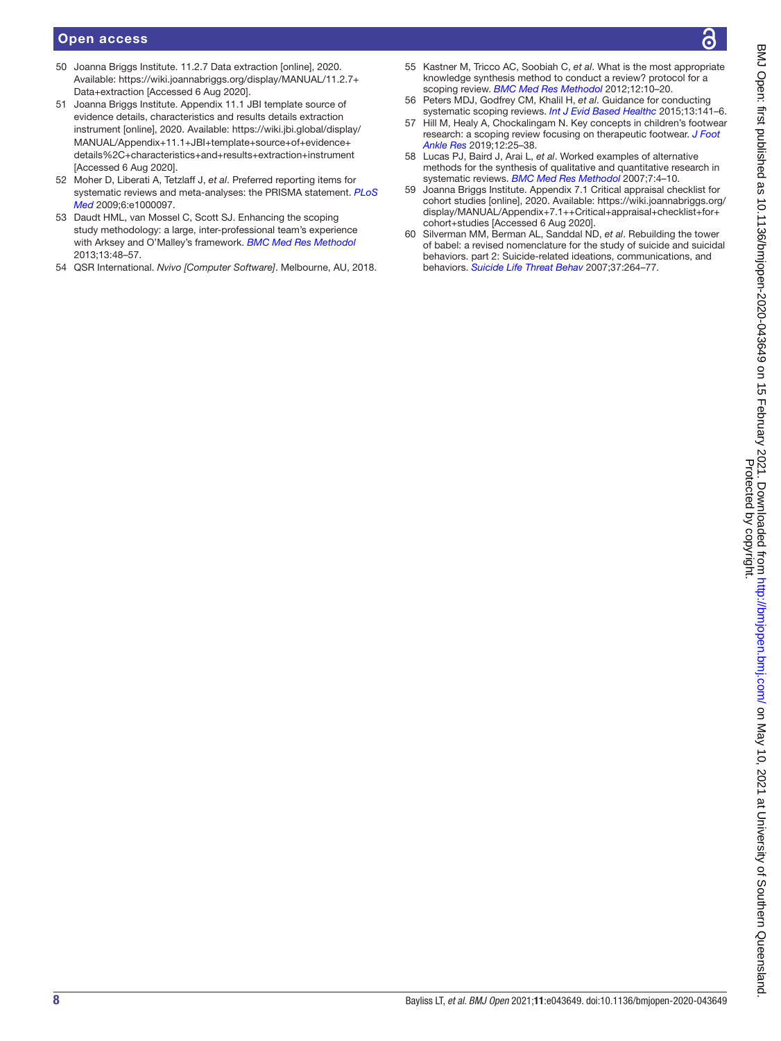## Open access

- <span id="page-7-0"></span>50 Joanna Briggs Institute. 11.2.7 Data extraction [online], 2020. Available: [https://wiki.joannabriggs.org/display/MANUAL/11.2.7+](https://wiki.joannabriggs.org/display/MANUAL/11.2.7+Data+extraction) [Data+extraction](https://wiki.joannabriggs.org/display/MANUAL/11.2.7+Data+extraction) [Accessed 6 Aug 2020].
- <span id="page-7-1"></span>51 Joanna Briggs Institute. Appendix 11.1 JBI template source of evidence details, characteristics and results details extraction instrument [online], 2020. Available: [https://wiki.jbi.global/display/](https://wiki.jbi.global/display/MANUAL/Appendix+11.1+JBI+template+source+of+evidence+details%2C+characteristics+and+results+extraction+instrument) [MANUAL/Appendix+11.1+JBI+template+source+of+evidence+](https://wiki.jbi.global/display/MANUAL/Appendix+11.1+JBI+template+source+of+evidence+details%2C+characteristics+and+results+extraction+instrument) [details%2C+characteristics+and+results+extraction+instrument](https://wiki.jbi.global/display/MANUAL/Appendix+11.1+JBI+template+source+of+evidence+details%2C+characteristics+and+results+extraction+instrument) [Accessed 6 Aug 2020].
- <span id="page-7-3"></span>52 Moher D, Liberati A, Tetzlaff J, *et al*. Preferred reporting items for systematic reviews and meta-analyses: the PRISMA statement. *[PLoS](http://dx.doi.org/10.1371/journal.pmed.1000097) [Med](http://dx.doi.org/10.1371/journal.pmed.1000097)* 2009;6:e1000097.
- <span id="page-7-4"></span>53 Daudt HML, van Mossel C, Scott SJ. Enhancing the scoping study methodology: a large, inter-professional team's experience with Arksey and O'Malley's framework. *[BMC Med Res Methodol](http://dx.doi.org/10.1186/1471-2288-13-48)* 2013;13:48–57.
- <span id="page-7-5"></span>54 QSR International. *Nvivo [Computer Software]*. Melbourne, AU, 2018.
- <span id="page-7-6"></span>55 Kastner M, Tricco AC, Soobiah C, *et al*. What is the most appropriate knowledge synthesis method to conduct a review? protocol for a scoping review. *[BMC Med Res Methodol](http://dx.doi.org/10.1186/1471-2288-12-114)* 2012;12:10–20.
- <span id="page-7-7"></span>56 Peters MDJ, Godfrey CM, Khalil H, *et al*. Guidance for conducting systematic scoping reviews. *[Int J Evid Based Healthc](http://dx.doi.org/10.1097/XEB.0000000000000050)* 2015;13:141–6.
- <span id="page-7-8"></span>57 Hill M, Healy A, Chockalingam N. Key concepts in children's footwear research: a scoping review focusing on therapeutic footwear. *[J Foot](http://dx.doi.org/10.1186/s13047-019-0336-z)  [Ankle Res](http://dx.doi.org/10.1186/s13047-019-0336-z)* 2019;12:25–38.
- <span id="page-7-9"></span>58 Lucas PJ, Baird J, Arai L, *et al*. Worked examples of alternative methods for the synthesis of qualitative and quantitative research in systematic reviews. *[BMC Med Res Methodol](http://dx.doi.org/10.1186/1471-2288-7-4)* 2007;7:4–10.
- <span id="page-7-10"></span>59 Joanna Briggs Institute. Appendix 7.1 Critical appraisal checklist for cohort studies [online], 2020. Available: [https://wiki.joannabriggs.org/](https://wiki.joannabriggs.org/display/MANUAL/Appendix+7.1++Critical+appraisal+checklist+for+cohort+studies) [display/MANUAL/Appendix+7.1++Critical+appraisal+checklist+for+](https://wiki.joannabriggs.org/display/MANUAL/Appendix+7.1++Critical+appraisal+checklist+for+cohort+studies) [cohort+studies](https://wiki.joannabriggs.org/display/MANUAL/Appendix+7.1++Critical+appraisal+checklist+for+cohort+studies) [Accessed 6 Aug 2020].
- <span id="page-7-2"></span>60 Silverman MM, Berman AL, Sanddal ND, *et al*. Rebuilding the tower of babel: a revised nomenclature for the study of suicide and suicidal behaviors. part 2: Suicide-related ideations, communications, and behaviors. *[Suicide Life Threat Behav](http://dx.doi.org/10.1521/suli.2007.37.3.264)* 2007;37:264–77.